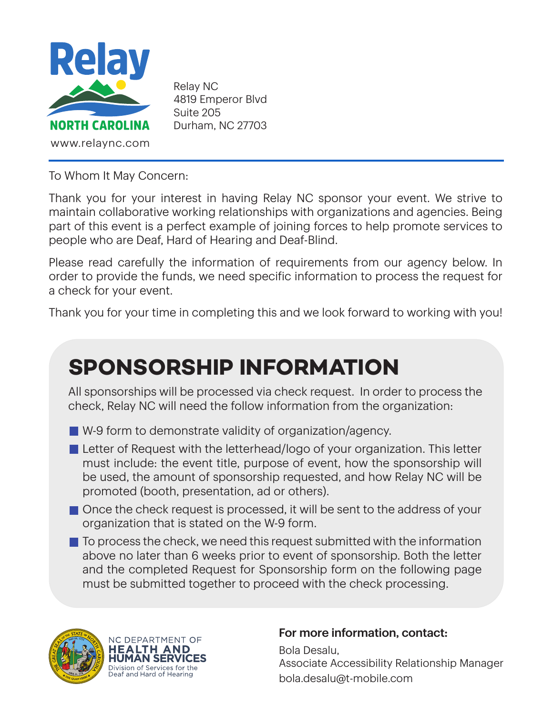

Relay NC 4819 Emperor Blvd Suite 205 Durham, NC 27703

To Whom It May Concern:

Thank you for your interest in having Relay NC sponsor your event. We strive to maintain collaborative working relationships with organizations and agencies. Being part of this event is a perfect example of joining forces to help promote services to people who are Deaf, Hard of Hearing and Deaf-Blind.

Please read carefully the information of requirements from our agency below. In order to provide the funds, we need specific information to process the request for a check for your event.

Thank you for your time in completing this and we look forward to working with you!

## **SPONSORSHIP INFORMATION**

All sponsorships will be processed via check request. In order to process the check, Relay NC will need the follow information from the organization:

- W-9 form to demonstrate validity of organization/agency.
- Letter of Request with the letterhead/logo of your organization. This letter must include: the event title, purpose of event, how the sponsorship will be used, the amount of sponsorship requested, and how Relay NC will be promoted (booth, presentation, ad or others).
- Once the check request is processed, it will be sent to the address of your organization that is stated on the W-9 form.
- $\blacksquare$  To process the check, we need this request submitted with the information above no later than 6 weeks prior to event of sponsorship. Both the letter and the completed Request for Sponsorship form on the following page must be submitted together to proceed with the check processing.



NC DEPARTMENT OF **MAN SERVICES** Division of Services for the Deaf and Hard of Hearing

## For more information, contact:

Bola Desalu, Associate Accessibility Relationship Manager bola.desalu@t-mobile.com